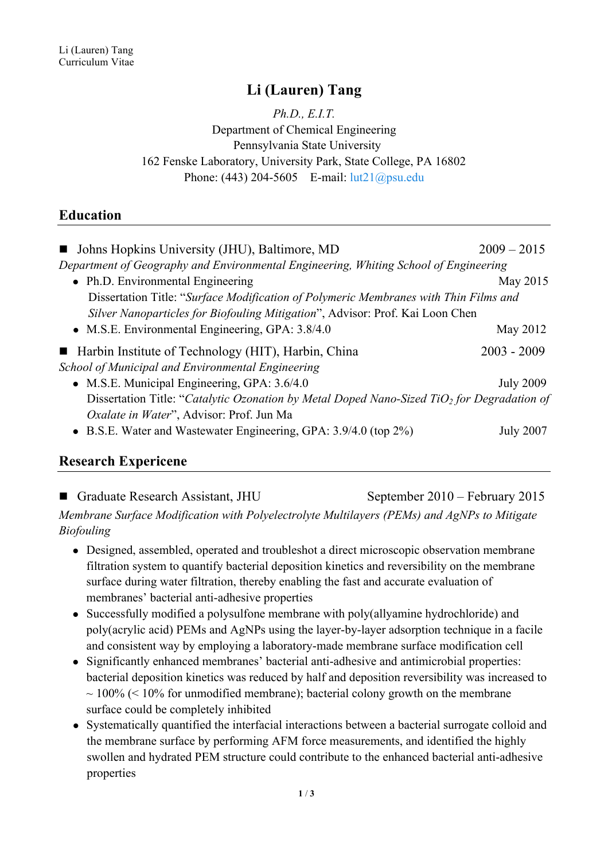## **Li (Lauren) Tang**

*Ph.D., E.I.T.* Department of Chemical Engineering Pennsylvania State University 162 Fenske Laboratory, University Park, State College, PA 16802 Phone: (443) 204-5605 E-mail: <u>lut21@psu.edu</u>

### **Education**

| • Johns Hopkins University (JHU), Baltimore, MD                                                        | $2009 - 2015$    |  |  |
|--------------------------------------------------------------------------------------------------------|------------------|--|--|
| Department of Geography and Environmental Engineering, Whiting School of Engineering                   |                  |  |  |
| • Ph.D. Environmental Engineering                                                                      | May 2015         |  |  |
| Dissertation Title: "Surface Modification of Polymeric Membranes with Thin Films and                   |                  |  |  |
| Silver Nanoparticles for Biofouling Mitigation", Advisor: Prof. Kai Loon Chen                          |                  |  |  |
| • M.S.E. Environmental Engineering, GPA: $3.8/4.0$                                                     | May 2012         |  |  |
| ■ Harbin Institute of Technology (HIT), Harbin, China                                                  | $2003 - 2009$    |  |  |
| School of Municipal and Environmental Engineering                                                      |                  |  |  |
| • M.S.E. Municipal Engineering, GPA: 3.6/4.0                                                           | <b>July 2009</b> |  |  |
| Dissertation Title: "Catalytic Ozonation by Metal Doped Nano-Sized TiO <sub>2</sub> for Degradation of |                  |  |  |
| <i>Oxalate in Water</i> ", Advisor: Prof. Jun Ma                                                       |                  |  |  |
| • B.S.E. Water and Wastewater Engineering, GPA: 3.9/4.0 (top 2%)                                       | <b>July 2007</b> |  |  |
|                                                                                                        |                  |  |  |

### **Research Expericene**

■ Graduate Research Assistant, JHU September 2010 – February 2015 *Membrane Surface Modification with Polyelectrolyte Multilayers (PEMs) and AgNPs to Mitigate Biofouling*

- Designed, assembled, operated and troubleshot a direct microscopic observation membrane filtration system to quantify bacterial deposition kinetics and reversibility on the membrane surface during water filtration, thereby enabling the fast and accurate evaluation of membranes' bacterial anti-adhesive properties
- Successfully modified a polysulfone membrane with poly(allyamine hydrochloride) and poly(acrylic acid) PEMs and AgNPs using the layer-by-layer adsorption technique in a facile and consistent way by employing a laboratory-made membrane surface modification cell
- Significantly enhanced membranes' bacterial anti-adhesive and antimicrobial properties: bacterial deposition kinetics was reduced by half and deposition reversibility was increased to  $\sim$  100% ( $\leq$  10% for unmodified membrane); bacterial colony growth on the membrane surface could be completely inhibited
- Systematically quantified the interfacial interactions between a bacterial surrogate colloid and the membrane surface by performing AFM force measurements, and identified the highly swollen and hydrated PEM structure could contribute to the enhanced bacterial anti-adhesive properties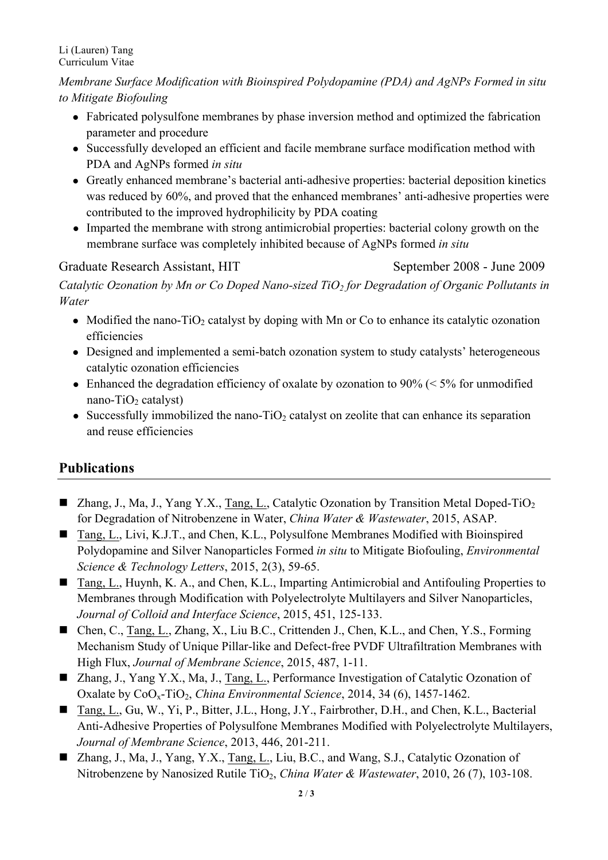#### Li (Lauren) Tang Curriculum Vitae

*Membrane Surface Modification with Bioinspired Polydopamine (PDA) and AgNPs Formed in situ to Mitigate Biofouling*

- Fabricated polysulfone membranes by phase inversion method and optimized the fabrication parameter and procedure
- Successfully developed an efficient and facile membrane surface modification method with PDA and AgNPs formed *in situ*
- Greatly enhanced membrane's bacterial anti-adhesive properties: bacterial deposition kinetics was reduced by 60%, and proved that the enhanced membranes' anti-adhesive properties were contributed to the improved hydrophilicity by PDA coating
- Imparted the membrane with strong antimicrobial properties: bacterial colony growth on the membrane surface was completely inhibited because of AgNPs formed *in situ*

### Graduate Research Assistant, HIT September 2008 - June 2009

*Catalytic Ozonation by Mn or Co Doped Nano-sized TiO2 for Degradation of Organic Pollutants in Water* 

- Modified the nano-TiO<sub>2</sub> catalyst by doping with Mn or Co to enhance its catalytic ozonation efficiencies
- Designed and implemented a semi-batch ozonation system to study catalysts' heterogeneous catalytic ozonation efficiencies
- Enhanced the degradation efficiency of oxalate by ozonation to 90% ( $\leq$  5% for unmodified nano-Ti $O_2$  catalyst)
- Successfully immobilized the nano-TiO<sub>2</sub> catalyst on zeolite that can enhance its separation and reuse efficiencies

# **Publications**

- **n** Zhang, J., Ma, J., Yang Y.X., Tang, L., Catalytic Ozonation by Transition Metal Doped-TiO<sub>2</sub> for Degradation of Nitrobenzene in Water, *China Water & Wastewater*, 2015, ASAP.
- Tang, L., Livi, K.J.T., and Chen, K.L., Polysulfone Membranes Modified with Bioinspired Polydopamine and Silver Nanoparticles Formed *in situ* to Mitigate Biofouling, *Environmental Science & Technology Letters*, 2015, 2(3), 59-65.
- Tang, L., Huynh, K. A., and Chen, K.L., Imparting Antimicrobial and Antifouling Properties to Membranes through Modification with Polyelectrolyte Multilayers and Silver Nanoparticles, *Journal of Colloid and Interface Science*, 2015, 451, 125-133.
- Chen, C., Tang, L., Zhang, X., Liu B.C., Crittenden J., Chen, K.L., and Chen, Y.S., Forming Mechanism Study of Unique Pillar-like and Defect-free PVDF Ultrafiltration Membranes with High Flux, *Journal of Membrane Science*, 2015, 487, 1-11.
- Zhang, J., Yang Y.X., Ma, J., Tang, L., Performance Investigation of Catalytic Ozonation of Oxalate by CoO<sub>x</sub>-TiO<sub>2</sub>, *China Environmental Science*, 2014, 34 (6), 1457-1462.
- Tang, L., Gu, W., Yi, P., Bitter, J.L., Hong, J.Y., Fairbrother, D.H., and Chen, K.L., Bacterial Anti-Adhesive Properties of Polysulfone Membranes Modified with Polyelectrolyte Multilayers, *Journal of Membrane Science*, 2013, 446, 201-211.
- Zhang, J., Ma, J., Yang, Y.X., Tang, L., Liu, B.C., and Wang, S.J., Catalytic Ozonation of Nitrobenzene by Nanosized Rutile TiO<sub>2</sub>, *China Water & Wastewater*, 2010, 26 (7), 103-108.